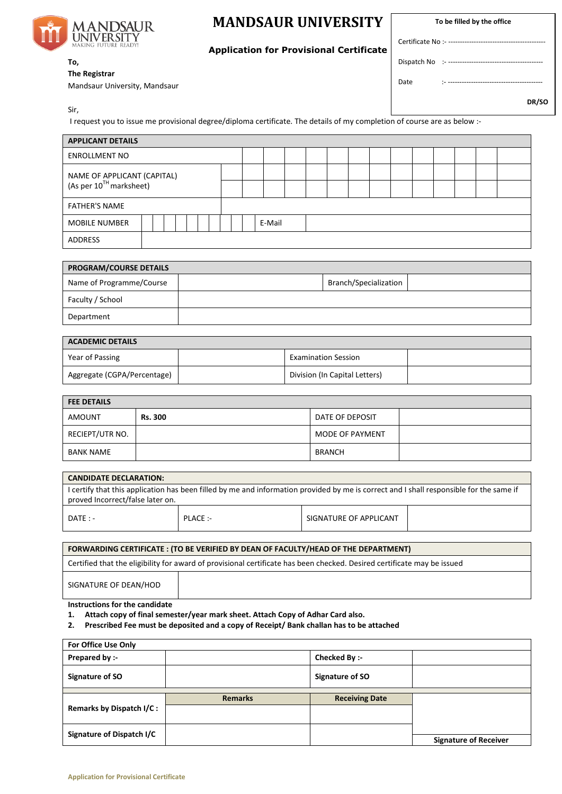

## **MANDSAUR UNIVERSITY**

**To be filled by the office**

## **Application for Provisional Certificate**

## **To, The Registrar**

Mandsaur University, Mandsaur

Date :- -----------------------------------------

Certificate No :----

Dispatch No :-----

**DR/SO**

Sir,

I request you to issue me provisional degree/diploma certificate. The details of my completion of course are as below :-

| <b>APPLICANT DETAILS</b>            |  |  |  |  |        |  |  |  |  |  |  |  |  |  |  |  |
|-------------------------------------|--|--|--|--|--------|--|--|--|--|--|--|--|--|--|--|--|
| <b>ENROLLMENT NO</b>                |  |  |  |  |        |  |  |  |  |  |  |  |  |  |  |  |
| NAME OF APPLICANT (CAPITAL)         |  |  |  |  |        |  |  |  |  |  |  |  |  |  |  |  |
| (As per 10 <sup>TH</sup> marksheet) |  |  |  |  |        |  |  |  |  |  |  |  |  |  |  |  |
| <b>FATHER'S NAME</b>                |  |  |  |  |        |  |  |  |  |  |  |  |  |  |  |  |
| <b>MOBILE NUMBER</b>                |  |  |  |  | E-Mail |  |  |  |  |  |  |  |  |  |  |  |
| ADDRESS                             |  |  |  |  |        |  |  |  |  |  |  |  |  |  |  |  |

| <b>PROGRAM/COURSE DETAILS</b> |  |                              |  |  |  |  |
|-------------------------------|--|------------------------------|--|--|--|--|
| Name of Programme/Course      |  | <b>Branch/Specialization</b> |  |  |  |  |
| Faculty / School              |  |                              |  |  |  |  |
| Department                    |  |                              |  |  |  |  |

| <b>ACADEMIC DETAILS</b>     |  |                               |  |  |  |  |
|-----------------------------|--|-------------------------------|--|--|--|--|
| Year of Passing             |  | <b>Examination Session</b>    |  |  |  |  |
| Aggregate (CGPA/Percentage) |  | Division (In Capital Letters) |  |  |  |  |

| <b>FEE DETAILS</b> |                |                 |  |  |  |  |  |
|--------------------|----------------|-----------------|--|--|--|--|--|
| <b>AMOUNT</b>      | <b>Rs. 300</b> | DATE OF DEPOSIT |  |  |  |  |  |
| RECIEPT/UTR NO.    |                | MODE OF PAYMENT |  |  |  |  |  |
| <b>BANK NAME</b>   |                | <b>BRANCH</b>   |  |  |  |  |  |

| <b>CANDIDATE DECLARATION:</b>                                                                                                           |         |                        |  |  |  |  |  |
|-----------------------------------------------------------------------------------------------------------------------------------------|---------|------------------------|--|--|--|--|--|
| I certify that this application has been filled by me and information provided by me is correct and I shall responsible for the same if |         |                        |  |  |  |  |  |
| proved Incorrect/false later on.                                                                                                        |         |                        |  |  |  |  |  |
| $DATF: -$                                                                                                                               | PLACE:- | SIGNATURE OF APPLICANT |  |  |  |  |  |

| FORWARDING CERTIFICATE: (TO BE VERIFIED BY DEAN OF FACULTY/HEAD OF THE DEPARTMENT)                                      |  |  |  |  |  |
|-------------------------------------------------------------------------------------------------------------------------|--|--|--|--|--|
| Certified that the eligibility for award of provisional certificate has been checked. Desired certificate may be issued |  |  |  |  |  |
| SIGNATURE OF DEAN/HOD                                                                                                   |  |  |  |  |  |

**Instructions for the candidate**

**1. Attach copy of final semester/year mark sheet. Attach Copy of Adhar Card also.**

**2. Prescribed Fee must be deposited and a copy of Receipt/ Bank challan has to be attached**

| For Office Use Only       |                |                       |                              |
|---------------------------|----------------|-----------------------|------------------------------|
| Prepared by :-            |                | Checked By :-         |                              |
| Signature of SO           |                | Signature of SO       |                              |
|                           | <b>Remarks</b> | <b>Receiving Date</b> |                              |
| Remarks by Dispatch I/C:  |                |                       |                              |
| Signature of Dispatch I/C |                |                       | <b>Signature of Receiver</b> |